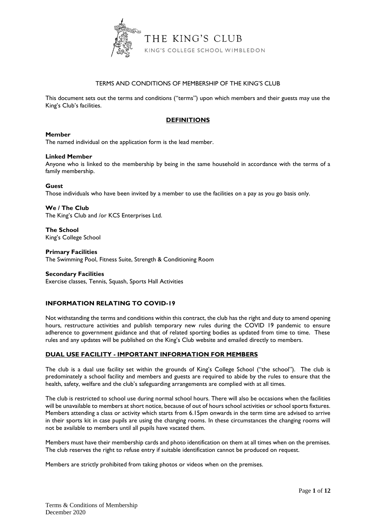

# TERMS AND CONDITIONS OF MEMBERSHIP OF THE KING'S CLUB

This document sets out the terms and conditions ("terms") upon which members and their guests may use the King's Club's facilities.

# **DEFINITIONS**

## **Member**

The named individual on the application form is the lead member.

#### **Linked Member**

Anyone who is linked to the membership by being in the same household in accordance with the terms of a family membership.

## **Guest**

Those individuals who have been invited by a member to use the facilities on a pay as you go basis only.

**We / The Club** The King's Club and /or KCS Enterprises Ltd.

**The School**  King's College School

#### **Primary Facilities**

The Swimming Pool, Fitness Suite, Strength & Conditioning Room

#### **Secondary Facilities**

Exercise classes, Tennis, Squash, Sports Hall Activities

## **INFORMATION RELATING TO COVID-19**

Not withstanding the terms and conditions within this contract, the club has the right and duty to amend opening hours, restructure activities and publish temporary new rules during the COVID 19 pandemic to ensure adherence to government guidance and that of related sporting bodies as updated from time to time. These rules and any updates will be published on the King's Club website and emailed directly to members.

## **DUAL USE FACILITY - IMPORTANT INFORMATION FOR MEMBERS**

The club is a dual use facility set within the grounds of King's College School ("the school"). The club is predominately a school facility and members and guests are required to abide by the rules to ensure that the health, safety, welfare and the club's safeguarding arrangements are complied with at all times.

The club is restricted to school use during normal school hours. There will also be occasions when the facilities will be unavailable to members at short notice, because of out of hours school activities or school sports fixtures. Members attending a class or activity which starts from 6.15pm onwards in the term time are advised to arrive in their sports kit in case pupils are using the changing rooms. In these circumstances the changing rooms will not be available to members until all pupils have vacated them.

Members must have their membership cards and photo identification on them at all times when on the premises. The club reserves the right to refuse entry if suitable identification cannot be produced on request.

Members are strictly prohibited from taking photos or videos when on the premises.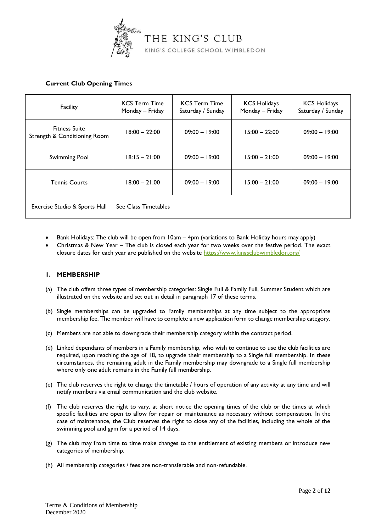

# **Current Club Opening Times**

| Facility                                             | <b>KCS Term Time</b><br>Monday - Friday | <b>KCS Term Time</b><br>Saturday / Sunday | <b>KCS Holidays</b><br>Monday - Friday | <b>KCS Holidays</b><br>Saturday / Sunday |
|------------------------------------------------------|-----------------------------------------|-------------------------------------------|----------------------------------------|------------------------------------------|
| <b>Fitness Suite</b><br>Strength & Conditioning Room | $18:00 - 22:00$                         | $09:00 - 19:00$                           | $15:00 - 22:00$                        | $09:00 - 19:00$                          |
| Swimming Pool                                        | $18:15 - 21:00$                         | $09:00 - 19:00$                           | $15:00 - 21:00$                        | $09:00 - 19:00$                          |
| <b>Tennis Courts</b>                                 | $18:00 - 21:00$                         | $09:00 - 19:00$                           | $15:00 - 21:00$                        | $09:00 - 19:00$                          |
| Exercise Studio & Sports Hall                        | See Class Timetables                    |                                           |                                        |                                          |

- Bank Holidays: The club will be open from 10am 4pm (variations to Bank Holiday hours may apply)
- Christmas & New Year The club is closed each year for two weeks over the festive period. The exact closure dates for each year are published on the website<https://www.kingsclubwimbledon.org/>

# **1. MEMBERSHIP**

- (a) The club offers three types of membership categories: Single Full & Family Full, Summer Student which are illustrated on the website and set out in detail in paragraph 17 of these terms.
- (b) Single memberships can be upgraded to Family memberships at any time subject to the appropriate membership fee. The member will have to complete a new application form to change membership category.
- (c) Members are not able to downgrade their membership category within the contract period.
- (d) Linked dependants of members in a Family membership, who wish to continue to use the club facilities are required, upon reaching the age of 18, to upgrade their membership to a Single full membership. In these circumstances, the remaining adult in the Family membership may downgrade to a Single full membership where only one adult remains in the Family full membership.
- (e) The club reserves the right to change the timetable / hours of operation of any activity at any time and will notify members via email communication and the club website.
- (f) The club reserves the right to vary, at short notice the opening times of the club or the times at which specific facilities are open to allow for repair or maintenance as necessary without compensation. In the case of maintenance, the Club reserves the right to close any of the facilities, including the whole of the swimming pool and gym for a period of 14 days.
- (g) The club may from time to time make changes to the entitlement of existing members or introduce new categories of membership.
- (h) All membership categories / fees are non-transferable and non-refundable.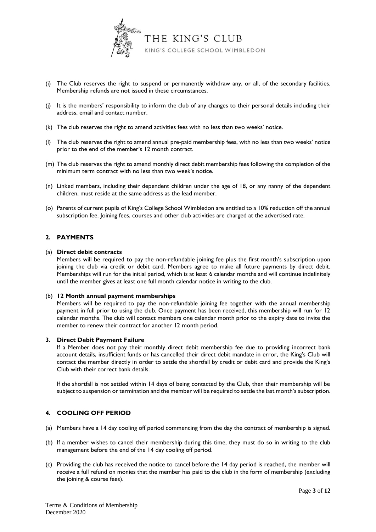

- (i) The Club reserves the right to suspend or permanently withdraw any, or all, of the secondary facilities. Membership refunds are not issued in these circumstances.
- (j) It is the members' responsibility to inform the club of any changes to their personal details including their address, email and contact number.
- (k) The club reserves the right to amend activities fees with no less than two weeks' notice.
- (l) The club reserves the right to amend annual pre-paid membership fees, with no less than two weeks' notice prior to the end of the member's 12 month contract.
- (m) The club reserves the right to amend monthly direct debit membership fees following the completion of the minimum term contract with no less than two week's notice.
- (n) Linked members, including their dependent children under the age of 18, or any nanny of the dependent children, must reside at the same address as the lead member.
- (o) Parents of current pupils of King's College School Wimbledon are entitled to a 10% reduction off the annual subscription fee. Joining fees, courses and other club activities are charged at the advertised rate.

## **2. PAYMENTS**

#### (a) **Direct debit contracts**

Members will be required to pay the non-refundable joining fee plus the first month's subscription upon joining the club via credit or debit card. Members agree to make all future payments by direct debit. Memberships will run for the initial period, which is at least 6 calendar months and will continue indefinitely until the member gives at least one full month calendar notice in writing to the club.

#### (b) **12 Month annual payment memberships**

Members will be required to pay the non-refundable joining fee together with the annual membership payment in full prior to using the club. Once payment has been received, this membership will run for 12 calendar months. The club will contact members one calendar month prior to the expiry date to invite the member to renew their contract for another 12 month period.

#### **3. Direct Debit Payment Failure**

If a Member does not pay their monthly direct debit membership fee due to providing incorrect bank account details, insufficient funds or has cancelled their direct debit mandate in error, the King's Club will contact the member directly in order to settle the shortfall by credit or debit card and provide the King's Club with their correct bank details.

If the shortfall is not settled within 14 days of being contacted by the Club, then their membership will be subject to suspension or termination and the member will be required to settle the last month's subscription.

# **4. COOLING OFF PERIOD**

- (a) Members have a 14 day cooling off period commencing from the day the contract of membership is signed.
- (b) If a member wishes to cancel their membership during this time, they must do so in writing to the club management before the end of the 14 day cooling off period.
- (c) Providing the club has received the notice to cancel before the 14 day period is reached, the member will receive a full refund on monies that the member has paid to the club in the form of membership (excluding the joining & course fees).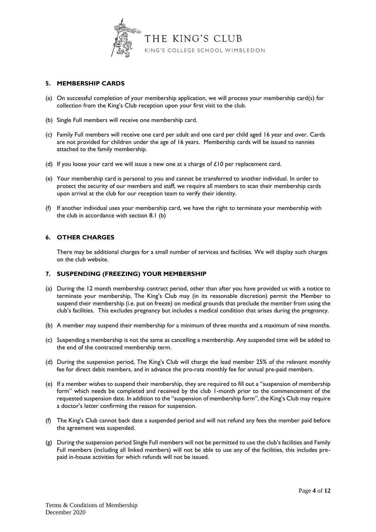

# **5. MEMBERSHIP CARDS**

- (a) On successful completion of your membership application, we will process your membership card(s) for collection from the King's Club reception upon your first visit to the club.
- (b) Single Full members will receive one membership card.
- (c) Family Full members will receive one card per adult and one card per child aged 16 year and over. Cards are not provided for children under the age of 16 years. Membership cards will be issued to nannies attached to the family membership.
- (d) If you loose your card we will issue a new one at a charge of  $£10$  per replacement card.
- (e) Your membership card is personal to you and cannot be transferred to another individual. In order to protect the security of our members and staff, we require all members to scan their membership cards upon arrival at the club for our reception team to verify their identity.
- (f) If another individual uses your membership card, we have the right to terminate your membership with the club in accordance with section 8.1 (b)

## **6. OTHER CHARGES**

There may be additional charges for a small number of services and facilities. We will display such charges on the club website.

## **7. SUSPENDING (FREEZING) YOUR MEMBERSHIP**

- (a) During the 12 month membership contract period, other than after you have provided us with a notice to terminate your membership, The King's Club may (in its reasonable discretion) permit the Member to suspend their membership (i.e. put on freeze) on medical grounds that preclude the member from using the club's facilities. This excludes pregnancy but includes a medical condition that arises during the pregnancy.
- (b) A member may suspend their membership for a minimum of three months and a maximum of nine months.
- (c) Suspending a membership is not the same as cancelling a membership. Any suspended time will be added to the end of the contracted membership term.
- (d) During the suspension period, The King's Club will charge the lead member 25% of the relevant monthly fee for direct debit members, and in advance the pro-rata monthly fee for annual pre-paid members.
- (e) If a member wishes to suspend their membership, they are required to fill out a "suspension of membership form" which needs be completed and received by the club 1-month prior to the commencement of the requested suspension date. In addition to the "suspension of membership form", the King's Club may require a doctor's letter confirming the reason for suspension.
- (f) The King's Club cannot back date a suspended period and will not refund any fees the member paid before the agreement was suspended.
- (g) During the suspension period Single Full members will not be permitted to use the club's facilities and Family Full members (including all linked members) will not be able to use any of the facilities, this includes prepaid in-house activities for which refunds will not be issued.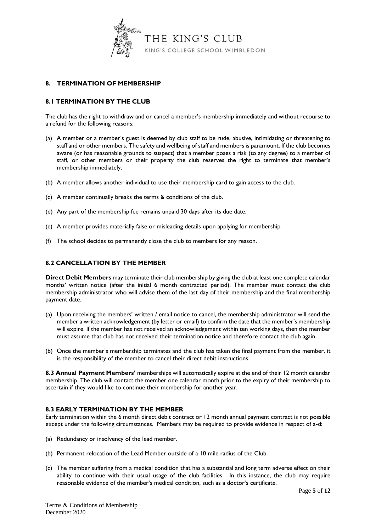

# **8. TERMINATION OF MEMBERSHIP**

# **8.1 TERMINATION BY THE CLUB**

The club has the right to withdraw and or cancel a member's membership immediately and without recourse to a refund for the following reasons:

- (a) A member or a member's guest is deemed by club staff to be rude, abusive, intimidating or threatening to staff and or other members. The safety and wellbeing of staff and members is paramount. If the club becomes aware (or has reasonable grounds to suspect) that a member poses a risk (to any degree) to a member of staff, or other members or their property the club reserves the right to terminate that member's membership immediately.
- (b) A member allows another individual to use their membership card to gain access to the club.
- (c) A member continually breaks the terms & conditions of the club.
- (d) Any part of the membership fee remains unpaid 30 days after its due date.
- (e) A member provides materially false or misleading details upon applying for membership.
- (f) The school decides to permanently close the club to members for any reason.

## **8.2 CANCELLATION BY THE MEMBER**

**Direct Debit Members** may terminate their club membership by giving the club at least one complete calendar months' written notice (after the initial 6 month contracted period). The member must contact the club membership administrator who will advise them of the last day of their membership and the final membership payment date.

- (a) Upon receiving the members' written / email notice to cancel, the membership administrator will send the member a written acknowledgement (by letter or email) to confirm the date that the member's membership will expire. If the member has not received an acknowledgement within ten working days, then the member must assume that club has not received their termination notice and therefore contact the club again.
- (b) Once the member's membership terminates and the club has taken the final payment from the member, it is the responsibility of the member to cancel their direct debit instructions.

**8.3 Annual Payment Members'** memberships will automatically expire at the end of their 12 month calendar membership. The club will contact the member one calendar month prior to the expiry of their membership to ascertain if they would like to continue their membership for another year.

#### **8.3 EARLY TERMINATION BY THE MEMBER**

Early termination within the 6 month direct debit contract or 12 month annual payment contract is not possible except under the following circumstances. Members may be required to provide evidence in respect of a-d:

- (a) Redundancy or insolvency of the lead member.
- (b) Permanent relocation of the Lead Member outside of a 10 mile radius of the Club.
- (c) The member suffering from a medical condition that has a substantial and long term adverse effect on their ability to continue with their usual usage of the club facilities. In this instance, the club may require reasonable evidence of the member's medical condition, such as a doctor's certificate.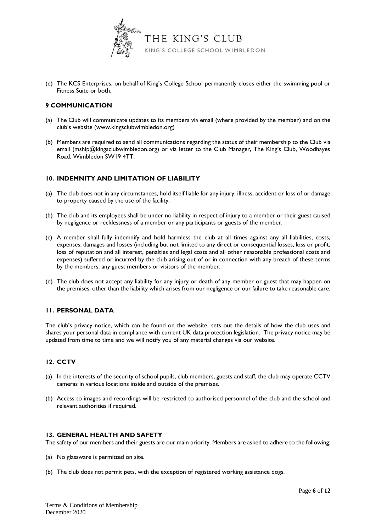

(d) The KCS Enterprises, on behalf of King's College School permanently closes either the swimming pool or Fitness Suite or both.

## **9 COMMUNICATION**

- (a) The Club will communicate updates to its members via email (where provided by the member) and on the club's website ([www.kingsclubwimbledon.org\)](http://www.kingsclubwimbledon.org/)
- (b) Members are required to send all communications regarding the status of their membership to the Club via email [\(mship@kingsclubwimbledon.org\)](mailto:mship@kingsclubwimbledon.org) or via letter to the Club Manager, The King's Club, Woodhayes Road, Wimbledon SW19 4TT.

## **10. INDEMNITY AND LIMITATION OF LIABILITY**

- (a) The club does not in any circumstances, hold itself liable for any injury, illness, accident or loss of or damage to property caused by the use of the facility.
- (b) The club and its employees shall be under no liability in respect of injury to a member or their guest caused by negligence or recklessness of a member or any participants or guests of the member.
- (c) A member shall fully indemnify and hold harmless the club at all times against any all liabilities, costs, expenses, damages and losses (including but not limited to any direct or consequential losses, loss or profit, loss of reputation and all interest, penalties and legal costs and all other reasonable professional costs and expenses) suffered or incurred by the club arising out of or in connection with any breach of these terms by the members, any guest members or visitors of the member.
- (d) The club does not accept any liability for any injury or death of any member or guest that may happen on the premises, other than the liability which arises from our negligence or our failure to take reasonable care.

## **11. PERSONAL DATA**

The club's privacy notice, which can be found on the website, sets out the details of how the club uses and shares your personal data in compliance with current UK data protection legislation. The privacy notice may be updated from time to time and we will notify you of any material changes via our website.

## **12. CCTV**

- (a) In the interests of the security of school pupils, club members, guests and staff, the club may operate CCTV cameras in various locations inside and outside of the premises.
- (b) Access to images and recordings will be restricted to authorised personnel of the club and the school and relevant authorities if required.

## **13. GENERAL HEALTH AND SAFETY**

The safety of our members and their guests are our main priority. Members are asked to adhere to the following:

- (a) No glassware is permitted on site.
- (b) The club does not permit pets, with the exception of registered working assistance dogs.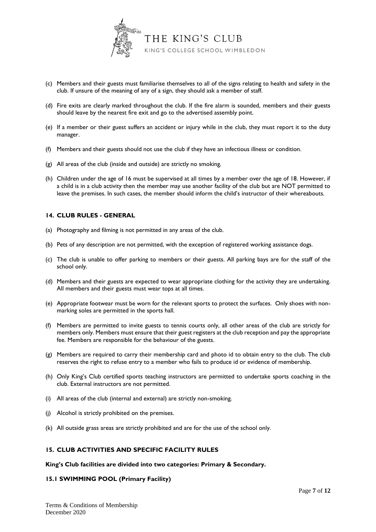

- (c) Members and their guests must familiarise themselves to all of the signs relating to health and safety in the club. If unsure of the meaning of any of a sign, they should ask a member of staff.
- (d) Fire exits are clearly marked throughout the club. If the fire alarm is sounded, members and their guests should leave by the nearest fire exit and go to the advertised assembly point.
- (e) If a member or their guest suffers an accident or injury while in the club, they must report it to the duty manager.
- (f) Members and their guests should not use the club if they have an infectious illness or condition.
- (g) All areas of the club (inside and outside) are strictly no smoking.
- (h) Children under the age of 16 must be supervised at all times by a member over the age of 18. However, if a child is in a club activity then the member may use another facility of the club but are NOT permitted to leave the premises. In such cases, the member should inform the child's instructor of their whereabouts.

## **14. CLUB RULES - GENERAL**

- (a) Photography and filming is not permitted in any areas of the club.
- (b) Pets of any description are not permitted, with the exception of registered working assistance dogs.
- (c) The club is unable to offer parking to members or their guests. All parking bays are for the staff of the school only.
- (d) Members and their guests are expected to wear appropriate clothing for the activity they are undertaking. All members and their guests must wear tops at all times.
- (e) Appropriate footwear must be worn for the relevant sports to protect the surfaces. Only shoes with nonmarking soles are permitted in the sports hall.
- (f) Members are permitted to invite guests to tennis courts only, all other areas of the club are strictly for members only. Members must ensure that their guest registers at the club reception and pay the appropriate fee. Members are responsible for the behaviour of the guests.
- (g) Members are required to carry their membership card and photo id to obtain entry to the club. The club reserves the right to refuse entry to a member who fails to produce id or evidence of membership.
- (h) Only King's Club certified sports teaching instructors are permitted to undertake sports coaching in the club. External instructors are not permitted.
- (i) All areas of the club (internal and external) are strictly non-smoking.
- (j) Alcohol is strictly prohibited on the premises.
- (k) All outside grass areas are strictly prohibited and are for the use of the school only.

## **15. CLUB ACTIVITIES AND SPECIFIC FACILITY RULES**

#### **King's Club facilities are divided into two categories: Primary & Secondary.**

## **15.1 SWIMMING POOL (Primary Facility)**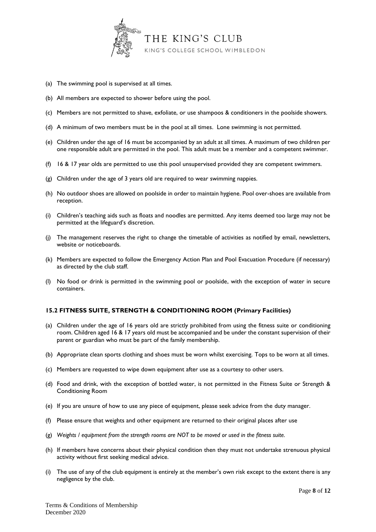

- (a) The swimming pool is supervised at all times.
- (b) All members are expected to shower before using the pool.
- (c) Members are not permitted to shave, exfoliate, or use shampoos & conditioners in the poolside showers.
- (d) A minimum of two members must be in the pool at all times. Lone swimming is not permitted.
- (e) Children under the age of 16 must be accompanied by an adult at all times. A maximum of two children per one responsible adult are permitted in the pool. This adult must be a member and a competent swimmer.
- (f) 16 & 17 year olds are permitted to use this pool unsupervised provided they are competent swimmers.
- (g) Children under the age of 3 years old are required to wear swimming nappies.
- (h) No outdoor shoes are allowed on poolside in order to maintain hygiene. Pool over-shoes are available from reception.
- (i) Children's teaching aids such as floats and noodles are permitted. Any items deemed too large may not be permitted at the lifeguard's discretion.
- (j) The management reserves the right to change the timetable of activities as notified by email, newsletters, website or noticeboards.
- (k) Members are expected to follow the Emergency Action Plan and Pool Evacuation Procedure (if necessary) as directed by the club staff.
- (l) No food or drink is permitted in the swimming pool or poolside, with the exception of water in secure containers.

# **15.2 FITNESS SUITE, STRENGTH & CONDITIONING ROOM (Primary Facilities)**

- (a) Children under the age of 16 years old are strictly prohibited from using the fitness suite or conditioning room. Children aged 16 & 17 years old must be accompanied and be under the constant supervision of their parent or guardian who must be part of the family membership.
- (b) Appropriate clean sports clothing and shoes must be worn whilst exercising. Tops to be worn at all times.
- (c) Members are requested to wipe down equipment after use as a courtesy to other users.
- (d) Food and drink, with the exception of bottled water, is not permitted in the Fitness Suite or Strength & Conditioning Room
- (e) If you are unsure of how to use any piece of equipment, please seek advice from the duty manager.
- (f) Please ensure that weights and other equipment are returned to their original places after use
- (g) *Weights / equipment from the strength rooms are NOT to be moved or used in the fitness suite.*
- (h) If members have concerns about their physical condition then they must not undertake strenuous physical activity without first seeking medical advice.
- (i) The use of any of the club equipment is entirely at the member's own risk except to the extent there is any negligence by the club.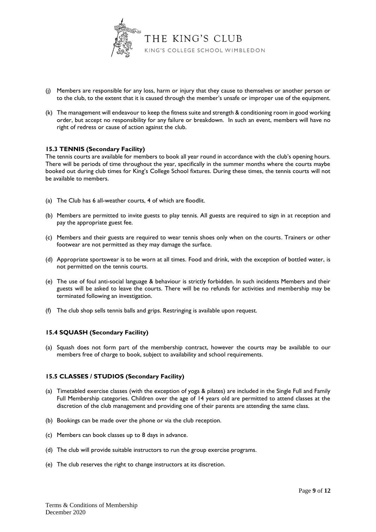

- (j) Members are responsible for any loss, harm or injury that they cause to themselves or another person or to the club, to the extent that it is caused through the member's unsafe or improper use of the equipment.
- (k) The management will endeavour to keep the fitness suite and strength & conditioning room in good working order, but accept no responsibility for any failure or breakdown. In such an event, members will have no right of redress or cause of action against the club.

## **15.3 TENNIS (Secondary Facility)**

The tennis courts are available for members to book all year round in accordance with the club's opening hours. There will be periods of time throughout the year, specifically in the summer months where the courts maybe booked out during club times for King's College School fixtures. During these times, the tennis courts will not be available to members.

- (a) The Club has 6 all-weather courts, 4 of which are floodlit.
- (b) Members are permitted to invite guests to play tennis. All guests are required to sign in at reception and pay the appropriate guest fee.
- (c) Members and their guests are required to wear tennis shoes only when on the courts. Trainers or other footwear are not permitted as they may damage the surface.
- (d) Appropriate sportswear is to be worn at all times. Food and drink, with the exception of bottled water, is not permitted on the tennis courts.
- (e) The use of foul anti-social language & behaviour is strictly forbidden. In such incidents Members and their guests will be asked to leave the courts. There will be no refunds for activities and membership may be terminated following an investigation.
- (f) The club shop sells tennis balls and grips. Restringing is available upon request.

## **15.4 SQUASH (Secondary Facility)**

(a) Squash does not form part of the membership contract, however the courts may be available to our members free of charge to book, subject to availability and school requirements.

## **15.5 CLASSES / STUDIOS (Secondary Facility)**

- (a) Timetabled exercise classes (with the exception of yoga & pilates) are included in the Single Full and Family Full Membership categories. Children over the age of 14 years old are permitted to attend classes at the discretion of the club management and providing one of their parents are attending the same class.
- (b) Bookings can be made over the phone or via the club reception.
- (c) Members can book classes up to 8 days in advance.
- (d) The club will provide suitable instructors to run the group exercise programs.
- (e) The club reserves the right to change instructors at its discretion.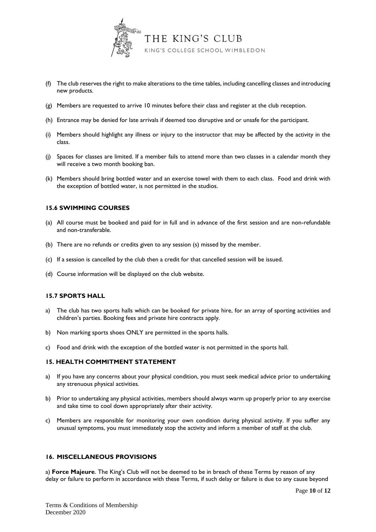

- (f) The club reserves the right to make alterations to the time tables, including cancelling classes and introducing new products.
- (g) Members are requested to arrive 10 minutes before their class and register at the club reception.
- (h) Entrance may be denied for late arrivals if deemed too disruptive and or unsafe for the participant.
- (i) Members should highlight any illness or injury to the instructor that may be affected by the activity in the class.
- (j) Spaces for classes are limited. If a member fails to attend more than two classes in a calendar month they will receive a two month booking ban.
- (k) Members should bring bottled water and an exercise towel with them to each class. Food and drink with the exception of bottled water, is not permitted in the studios.

# **15.6 SWIMMING COURSES**

- (a) All course must be booked and paid for in full and in advance of the first session and are non-refundable and non-transferable.
- (b) There are no refunds or credits given to any session (s) missed by the member.
- (c) If a session is cancelled by the club then a credit for that cancelled session will be issued.
- (d) Course information will be displayed on the club website.

## **15.7 SPORTS HALL**

- a) The club has two sports halls which can be booked for private hire, for an array of sporting activities and children's parties. Booking fees and private hire contracts apply.
- b) Non marking sports shoes ONLY are permitted in the sports halls.
- c) Food and drink with the exception of the bottled water is not permitted in the sports hall.

## **15. HEALTH COMMITMENT STATEMENT**

- a) If you have any concerns about your physical condition, you must seek medical advice prior to undertaking any strenuous physical activities.
- b) Prior to undertaking any physical activities, members should always warm up properly prior to any exercise and take time to cool down appropriately after their activity.
- c) Members are responsible for monitoring your own condition during physical activity. If you suffer any unusual symptoms, you must immediately stop the activity and inform a member of staff at the club.

## **16. MISCELLANEOUS PROVISIONS**

a) **Force Majeure**. The King's Club will not be deemed to be in breach of these Terms by reason of any delay or failure to perform in accordance with these Terms, if such delay or failure is due to any cause beyond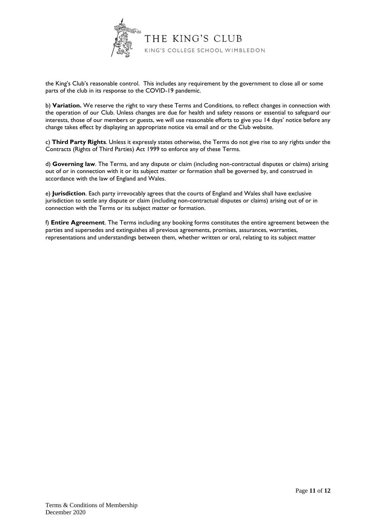

the King's Club's reasonable control. This includes any requirement by the government to close all or some parts of the club in its response to the COVID-19 pandemic.

b) **Variation.** We reserve the right to vary these Terms and Conditions, to reflect changes in connection with the operation of our Club. Unless changes are due for health and safety reasons or essential to safeguard our interests, those of our members or guests, we will use reasonable efforts to give you 14 days' notice before any change takes effect by displaying an appropriate notice via email and or the Club website.

c) **Third Party Rights**. Unless it expressly states otherwise, the Terms do not give rise to any rights under the Contracts (Rights of Third Parties) Act 1999 to enforce any of these Terms.

d) **Governing law**. The Terms, and any dispute or claim (including non-contractual disputes or claims) arising out of or in connection with it or its subject matter or formation shall be governed by, and construed in accordance with the law of England and Wales.

e) **Jurisdiction**. Each party irrevocably agrees that the courts of England and Wales shall have exclusive jurisdiction to settle any dispute or claim (including non-contractual disputes or claims) arising out of or in connection with the Terms or its subject matter or formation.

f) **Entire Agreement**. The Terms including any booking forms constitutes the entire agreement between the parties and supersedes and extinguishes all previous agreements, promises, assurances, warranties, representations and understandings between them, whether written or oral, relating to its subject matter